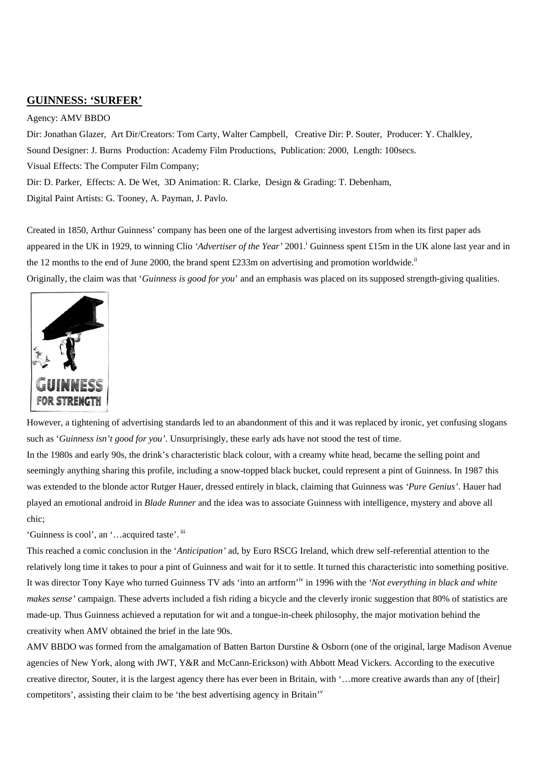## **GUINNESS: 'SURFER'**

## Agency: AMV BBDO

Dir: Jonathan Glazer, Art Dir/Creators: Tom Carty, Walter Campbell, Creative Dir: P. Souter, Producer: Y. Chalkley, Sound Designer: J. Burns Production: Academy Film Productions, Publication: 2000, Length: 100secs. Visual Effects: The Computer Film Company; Dir: D. Parker, Effects: A. De Wet, 3D Animation: R. Clarke, Design & Grading: T. Debenham,

Digital Paint Artists: G. Tooney, A. Payman, J. Pavlo.

Created in 1850, Arthur Guinness' company has been one of the largest advertising investors from when its first paper ads appeared in the UK in 1929, to winning Clio 'Advertiser of the Year' 2001.<sup>1</sup> Guinness spent £15m in the UK alone last year and in the 12 months to the end of June 2000, the brand spent £233m on advertising and promotion worldwide.<sup>[ii](#page-5-1)</sup>

Originally, the claim was that '*Guinness is good for you*' and an emphasis was placed on its supposed strength-giving qualities.



chic;

However, a tightening of advertising standards led to an abandonment of this and it was replaced by ironic, yet confusing slogans such as '*Guinness isn't good for you'*. Unsurprisingly, these early ads have not stood the test of time. In the 1980s and early 90s, the drink's characteristic black colour, with a creamy white head, became the selling point and seemingly anything sharing this profile, including a snow-topped black bucket, could represent a pint of Guinness. In 1987 this was extended to the blonde actor Rutger Hauer, dressed entirely in black, claiming that Guinness was *'Pure Genius'*. Hauer had played an emotional android in *Blade Runner* and the idea was to associate Guinness with intelligence, mystery and above all

'Guinness is cool', an '…acquired taste'. [iii](#page-5-2)

This reached a comic conclusion in the '*Anticipation'* ad, by Euro RSCG Ireland, which drew self-referential attention to the relatively long time it takes to pour a pint of Guinness and wait for it to settle. It turned this characteristic into something positive. It was director Tony Kaye who turned Guinness TV ads 'into an artform<sup>, [iv](#page-5-3)</sup> in 1996 with the 'Not everything in black and white *makes sense'* campaign. These adverts included a fish riding a bicycle and the cleverly ironic suggestion that 80% of statistics are made-up. Thus Guinness achieved a reputation for wit and a tongue-in-cheek philosophy, the major motivation behind the creativity when AMV obtained the brief in the late 90s.

AMV BBDO was formed from the amalgamation of Batten Barton Durstine & Osborn (one of the original, large Madison Avenue agencies of New York, along with JWT, Y&R and McCann-Erickson) with Abbott Mead Vickers. According to the executive creative director, Souter, it is the largest agency there has ever been in Britain, with '…more creative awards than any of [their] competitors', assisting their claim to be 'the best ad[v](#page-5-4)ertising agency in Britain'<sup>v</sup>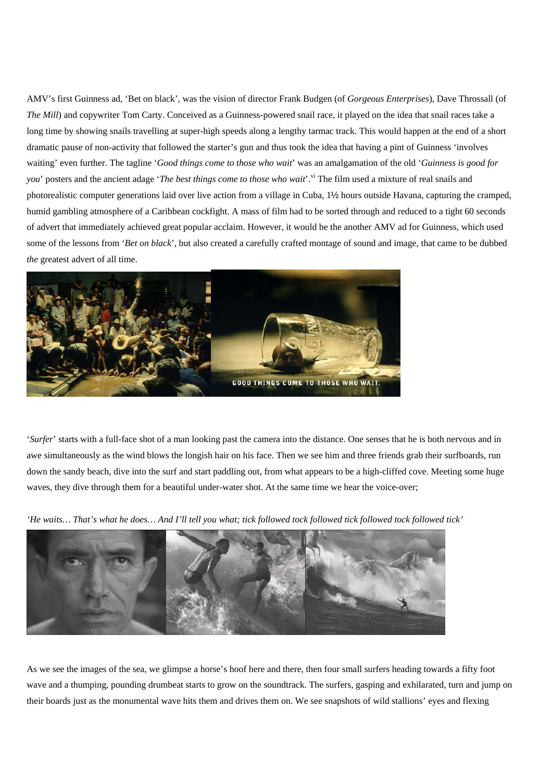AMV's first Guinness ad, 'Bet on black', was the vision of director Frank Budgen (of *Gorgeous Enterprises*), Dave Throssall (of *The Mill*) and copywriter Tom Carty. Conceived as a Guinness-powered snail race, it played on the idea that snail races take a long time by showing snails travelling at super-high speeds along a lengthy tarmac track. This would happen at the end of a short dramatic pause of non-activity that followed the starter's gun and thus took the idea that having a pint of Guinness 'involves waiting' even further. The tagline '*Good things come to those who wait*' was an amalgamation of the old '*Guinness is good for you*' posters and the ancient adage '*The best things come to those who wait*'.<sup>vi</sup> The film used a mixture of real snails and photorealistic computer generations laid over live action from a village in Cuba, 1½ hours outside Havana, capturing the cramped, humid gambling atmosphere of a Caribbean cockfight. A mass of film had to be sorted through and reduced to a tight 60 seconds of advert that immediately achieved great popular acclaim. However, it would be the another AMV ad for Guinness, which used some of the lessons from '*Bet on black*', but also created a carefully crafted montage of sound and image, that came to be dubbed *the* greatest advert of all time.



'*Surfer*' starts with a full-face shot of a man looking past the camera into the distance. One senses that he is both nervous and in awe simultaneously as the wind blows the longish hair on his face. Then we see him and three friends grab their surfboards, run down the sandy beach, dive into the surf and start paddling out, from what appears to be a high-cliffed cove. Meeting some huge waves, they dive through them for a beautiful under-water shot. At the same time we hear the voice-over;

*'He waits… That's what he does… And I'll tell you what; tick followed tock followed tick followed tock followed tick'* 



As we see the images of the sea, we glimpse a horse's hoof here and there, then four small surfers heading towards a fifty foot wave and a thumping, pounding drumbeat starts to grow on the soundtrack. The surfers, gasping and exhilarated, turn and jump on their boards just as the monumental wave hits them and drives them on. We see snapshots of wild stallions' eyes and flexing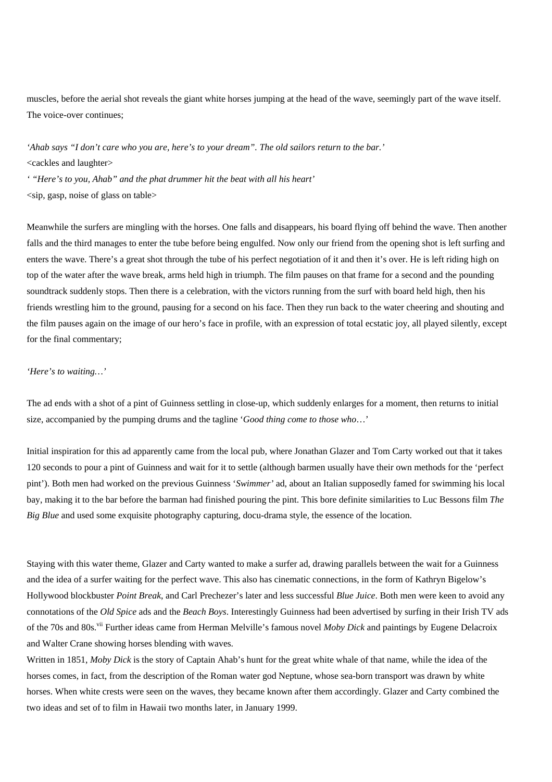muscles, before the aerial shot reveals the giant white horses jumping at the head of the wave, seemingly part of the wave itself. The voice-over continues;

*'Ahab says "I don't care who you are, here's to your dream". The old sailors return to the bar.'*  <cackles and laughter>

*' "Here's to you, Ahab" and the phat drummer hit the beat with all his heart'*   $\langle$ sip, gasp, noise of glass on table $>$ 

Meanwhile the surfers are mingling with the horses. One falls and disappears, his board flying off behind the wave. Then another falls and the third manages to enter the tube before being engulfed. Now only our friend from the opening shot is left surfing and enters the wave. There's a great shot through the tube of his perfect negotiation of it and then it's over. He is left riding high on top of the water after the wave break, arms held high in triumph. The film pauses on that frame for a second and the pounding soundtrack suddenly stops. Then there is a celebration, with the victors running from the surf with board held high, then his friends wrestling him to the ground, pausing for a second on his face. Then they run back to the water cheering and shouting and the film pauses again on the image of our hero's face in profile, with an expression of total ecstatic joy, all played silently, except for the final commentary;

## *'Here's to waiting…'*

The ad ends with a shot of a pint of Guinness settling in close-up, which suddenly enlarges for a moment, then returns to initial size, accompanied by the pumping drums and the tagline '*Good thing come to those who*…'

Initial inspiration for this ad apparently came from the local pub, where Jonathan Glazer and Tom Carty worked out that it takes 120 seconds to pour a pint of Guinness and wait for it to settle (although barmen usually have their own methods for the 'perfect pint'). Both men had worked on the previous Guinness '*Swimmer'* ad, about an Italian supposedly famed for swimming his local bay, making it to the bar before the barman had finished pouring the pint. This bore definite similarities to Luc Bessons film *The Big Blue* and used some exquisite photography capturing, docu-drama style, the essence of the location.

Staying with this water theme, Glazer and Carty wanted to make a surfer ad, drawing parallels between the wait for a Guinness and the idea of a surfer waiting for the perfect wave. This also has cinematic connections, in the form of Kathryn Bigelow's Hollywood blockbuster *Point Break*, and Carl Prechezer's later and less successful *Blue Juice*. Both men were keen to avoid any connotations of the *Old Spice* ads and the *Beach Boys*. Interestingly Guinness had been advertised by surfing in their Irish TV ads of the 70s and 80s[.vii F](#page-5-6)urther ideas came from Herman Melville's famous novel *Moby Dick* and paintings by Eugene Delacroix and Walter Crane showing horses blending with waves.

Written in 1851, *Moby Dick* is the story of Captain Ahab's hunt for the great white whale of that name, while the idea of the horses comes, in fact, from the description of the Roman water god Neptune, whose sea-born transport was drawn by white horses. When white crests were seen on the waves, they became known after them accordingly. Glazer and Carty combined the two ideas and set of to film in Hawaii two months later, in January 1999.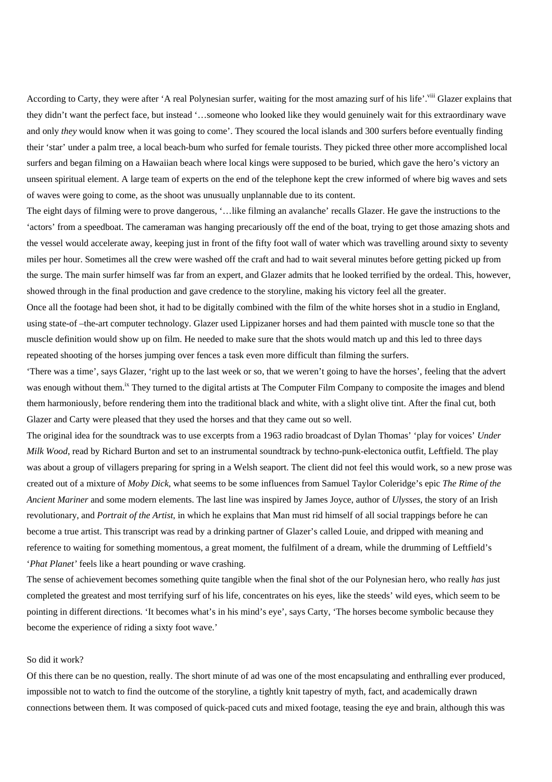According to Carty, they were after 'A real Polynesian surfer, waiting for the most amazing surf of his life'.<sup>viii</sup> Glazer explains that they didn't want the perfect face, but instead '…someone who looked like they would genuinely wait for this extraordinary wave and only *they* would know when it was going to come'. They scoured the local islands and 300 surfers before eventually finding their 'star' under a palm tree, a local beach-bum who surfed for female tourists. They picked three other more accomplished local surfers and began filming on a Hawaiian beach where local kings were supposed to be buried, which gave the hero's victory an unseen spiritual element. A large team of experts on the end of the telephone kept the crew informed of where big waves and sets of waves were going to come, as the shoot was unusually unplannable due to its content.

The eight days of filming were to prove dangerous, '…like filming an avalanche' recalls Glazer. He gave the instructions to the 'actors' from a speedboat. The cameraman was hanging precariously off the end of the boat, trying to get those amazing shots and the vessel would accelerate away, keeping just in front of the fifty foot wall of water which was travelling around sixty to seventy miles per hour. Sometimes all the crew were washed off the craft and had to wait several minutes before getting picked up from the surge. The main surfer himself was far from an expert, and Glazer admits that he looked terrified by the ordeal. This, however, showed through in the final production and gave credence to the storyline, making his victory feel all the greater.

Once all the footage had been shot, it had to be digitally combined with the film of the white horses shot in a studio in England, using state-of –the-art computer technology. Glazer used Lippizaner horses and had them painted with muscle tone so that the muscle definition would show up on film. He needed to make sure that the shots would match up and this led to three days repeated shooting of the horses jumping over fences a task even more difficult than filming the surfers.

'There was a time', says Glazer, 'right up to the last week or so, that we weren't going to have the horses', feeling that the advert was enough without them.<sup>ix</sup> They turned to the digital artists at The Computer Film Company to composite the images and blend them harmoniously, before rendering them into the traditional black and white, with a slight olive tint. After the final cut, both Glazer and Carty were pleased that they used the horses and that they came out so well.

The original idea for the soundtrack was to use excerpts from a 1963 radio broadcast of Dylan Thomas' 'play for voices' *Under Milk Wood*, read by Richard Burton and set to an instrumental soundtrack by techno-punk-electonica outfit, Leftfield. The play was about a group of villagers preparing for spring in a Welsh seaport. The client did not feel this would work, so a new prose was created out of a mixture of *Moby Dick*, what seems to be some influences from Samuel Taylor Coleridge's epic *The Rime of the Ancient Mariner* and some modern elements. The last line was inspired by James Joyce, author of *Ulysses,* the story of an Irish revolutionary, and *Portrait of the Artist*, in which he explains that Man must rid himself of all social trappings before he can become a true artist. This transcript was read by a drinking partner of Glazer's called Louie, and dripped with meaning and reference to waiting for something momentous, a great moment, the fulfilment of a dream, while the drumming of Leftfield's '*Phat Planet'* feels like a heart pounding or wave crashing.

The sense of achievement becomes something quite tangible when the final shot of the our Polynesian hero, who really *has* just completed the greatest and most terrifying surf of his life, concentrates on his eyes, like the steeds' wild eyes, which seem to be pointing in different directions. 'It becomes what's in his mind's eye', says Carty, 'The horses become symbolic because they become the experience of riding a sixty foot wave.'

## So did it work?

Of this there can be no question, really. The short minute of ad was one of the most encapsulating and enthralling ever produced, impossible not to watch to find the outcome of the storyline, a tightly knit tapestry of myth, fact, and academically drawn connections between them. It was composed of quick-paced cuts and mixed footage, teasing the eye and brain, although this was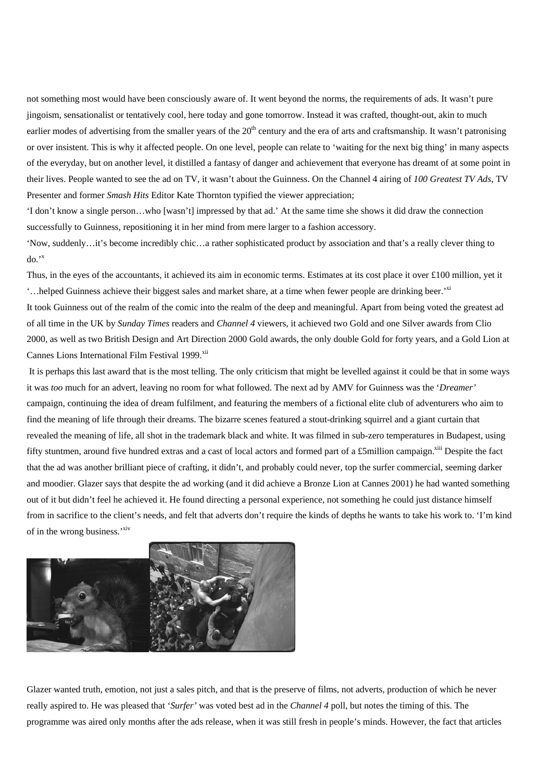not something most would have been consciously aware of. It went beyond the norms, the requirements of ads. It wasn't pure jingoism, sensationalist or tentatively cool, here today and gone tomorrow. Instead it was crafted, thought-out, akin to much earlier modes of advertising from the smaller years of the 20<sup>th</sup> century and the era of arts and craftsmanship. It wasn't patronising or over insistent. This is why it affected people. On one level, people can relate to 'waiting for the next big thing' in many aspects of the everyday, but on another level, it distilled a fantasy of danger and achievement that everyone has dreamt of at some point in their lives. People wanted to see the ad on TV, it wasn't about the Guinness. On the Channel 4 airing of *100 Greatest TV Ads*, TV Presenter and former *Smash Hits* Editor Kate Thornton typified the viewer appreciation;

'I don't know a single person…who [wasn't] impressed by that ad.' At the same time she shows it did draw the connection successfully to Guinness, repositioning it in her mind from mere larger to a fashion accessory.

'Now, suddenly…it's become incredibly chic…a rather sophisticated product by association and that's a really clever thing to  $do.'''$ 

Thus, in the eyes of the accountants, it achieved its aim in economic terms. Estimates at its cost place it over £100 million, yet it ...helped Guinness achieve their biggest sales and market share, at a time when fewer people are drinking beer.<sup>[xi](#page-5-10)</sup>

It took Guinness out of the realm of the comic into the realm of the deep and meaningful. Apart from being voted the greatest ad of all time in the UK by *Sunday Times* readers and *Channel 4* viewers, it achieved two Gold and one Silver awards from Clio 2000, as well as two British Design and Art Direction 2000 Gold awards, the only double Gold for forty years, and a Gold Lion at Cannes Lions International Film Festival 1999.<sup>[xii](#page-5-11)</sup>

It is perhaps this last award that is the most telling. The only criticism that might be levelled against it could be that in some ways it was *too* much for an advert, leaving no room for what followed. The next ad by AMV for Guinness was the '*Dreamer'* campaign, continuing the idea of dream fulfilment, and featuring the members of a fictional elite club of adventurers who aim to find the meaning of life through their dreams. The bizarre scenes featured a stout-drinking squirrel and a giant curtain that revealed the meaning of life, all shot in the trademark black and white. It was filmed in sub-zero temperatures in Budapest, using fifty stuntmen, around five hundred extras and a cast of local actors and formed part of a £5million campaign.<sup>xiii</sup> Despite the fact that the ad was another brilliant piece of crafting, it didn't, and probably could never, top the surfer commercial, seeming darker and moodier. Glazer says that despite the ad working (and it did achieve a Bronze Lion at Cannes 2001) he had wanted something out of it but didn't feel he achieved it. He found directing a personal experience, not something he could just distance himself from in sacrifice to the client's needs, and felt that adverts don't require the kinds of depths he wants to take his work to. 'I'm kind of in the wrong business.'<sup>xiv</sup>



Glazer wanted truth, emotion, not just a sales pitch, and that is the preserve of films, not adverts, production of which he never really aspired to. He was pleased that '*Surfer'* was voted best ad in the *Channel 4* poll, but notes the timing of this. The programme was aired only months after the ads release, when it was still fresh in people's minds. However, the fact that articles